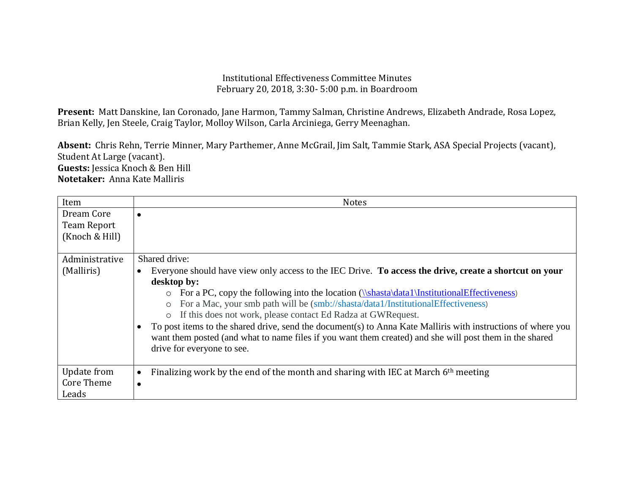## Institutional Effectiveness Committee Minutes February 20, 2018, 3:30- 5:00 p.m. in Boardroom

**Present:** Matt Danskine, Ian Coronado, Jane Harmon, Tammy Salman, Christine Andrews, Elizabeth Andrade, Rosa Lopez, Brian Kelly, Jen Steele, Craig Taylor, Molloy Wilson, Carla Arciniega, Gerry Meenaghan.

**Absent:** Chris Rehn, Terrie Minner, Mary Parthemer, Anne McGrail, Jim Salt, Tammie Stark, ASA Special Projects (vacant), Student At Large (vacant). **Guests:** Jessica Knoch & Ben Hill **Notetaker:** Anna Kate Malliris

| Item                                               | <b>Notes</b>                                                                                                                                                                                                                                                                                                                                                                                                                                                                                                                                                                                                                                                                              |
|----------------------------------------------------|-------------------------------------------------------------------------------------------------------------------------------------------------------------------------------------------------------------------------------------------------------------------------------------------------------------------------------------------------------------------------------------------------------------------------------------------------------------------------------------------------------------------------------------------------------------------------------------------------------------------------------------------------------------------------------------------|
| Dream Core<br><b>Team Report</b><br>(Knoch & Hill) |                                                                                                                                                                                                                                                                                                                                                                                                                                                                                                                                                                                                                                                                                           |
| Administrative<br>(Malliris)                       | Shared drive:<br>Everyone should have view only access to the IEC Drive. To access the drive, create a shortcut on your<br>desktop by:<br>For a PC, copy the following into the location $(\{\shast\}$ data $\InstitutionalEffectiveness)$<br>$\circ$<br>For a Mac, your smb path will be (smb://shasta/data1/InstitutionalEffectiveness)<br>$\circ$<br>If this does not work, please contact Ed Radza at GWR equest.<br>$\circ$<br>To post items to the shared drive, send the document(s) to Anna Kate Malliris with instructions of where you<br>want them posted (and what to name files if you want them created) and she will post them in the shared<br>drive for everyone to see. |
| Update from<br><b>Core Theme</b><br>Leads          | Finalizing work by the end of the month and sharing with IEC at March $6th$ meeting<br>$\bullet$                                                                                                                                                                                                                                                                                                                                                                                                                                                                                                                                                                                          |